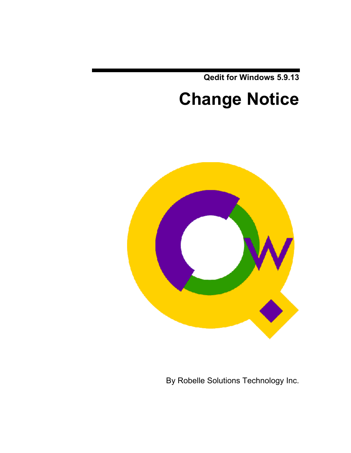**Qedit for Windows 5.9.13**

# **Change Notice**



By Robelle Solutions Technology Inc.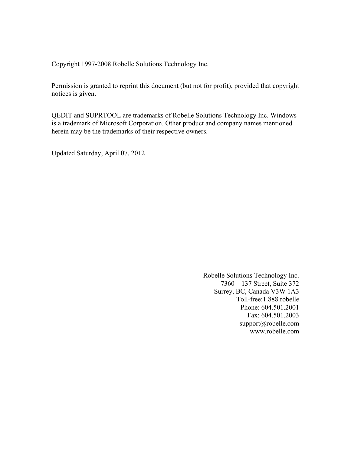Copyright 1997-2008 Robelle Solutions Technology Inc.

Permission is granted to reprint this document (but not for profit), provided that copyright notices is given.

QEDIT and SUPRTOOL are trademarks of Robelle Solutions Technology Inc. Windows is a trademark of Microsoft Corporation. Other product and company names mentioned herein may be the trademarks of their respective owners.

Updated Saturday, April 07, 2012

Robelle Solutions Technology Inc. 7360 – 137 Street, Suite 372 Surrey, BC, Canada V3W 1A3 Toll-free:1.888.robelle Phone: 604.501.2001 Fax: 604.501.2003 support@robelle.com www.robelle.com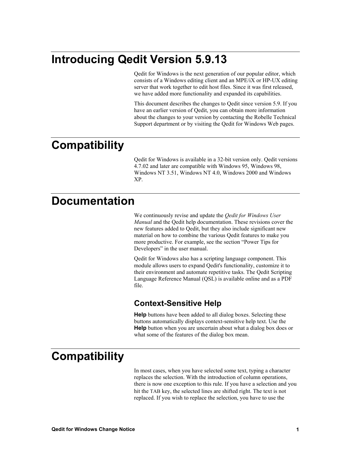# **Introducing Qedit Version 5.9.13**

Qedit for Windows is the next generation of our popular editor, which consists of a Windows editing client and an MPE/iX or HP-UX editing server that work together to edit host files. Since it was first released, we have added more functionality and expanded its capabilities.

This document describes the changes to Qedit since version 5.9. If you have an earlier version of Qedit, you can obtain more information about the changes to your version by contacting the Robelle Technical Support department or by visiting the Qedit for Windows Web pages.

# **Compatibility**

Qedit for Windows is available in a 32-bit version only. Qedit versions 4.7.02 and later are compatible with Windows 95, Windows 98, Windows NT 3.51, Windows NT 4.0, Windows 2000 and Windows XP.

# **Documentation**

We continuously revise and update the *Qedit for Windows User Manual* and the Qedit help documentation. These revisions cover the new features added to Qedit, but they also include significant new material on how to combine the various Qedit features to make you more productive. For example, see the section "Power Tips for Developers" in the user manual.

Qedit for Windows also has a scripting language component. This module allows users to expand Qedit's functionality, customize it to their environment and automate repetitive tasks. The Qedit Scripting Language Reference Manual (QSL) is available online and as a PDF file.

### **Context-Sensitive Help**

**Help** buttons have been added to all dialog boxes. Selecting these buttons automatically displays context-sensitive help text. Use the **Help** button when you are uncertain about what a dialog box does or what some of the features of the dialog box mean.

# **Compatibility**

In most cases, when you have selected some text, typing a character replaces the selection. With the introduction of column operations, there is now one exception to this rule. If you have a selection and you hit the TAB key, the selected lines are shifted right. The text is not replaced. If you wish to replace the selection, you have to use the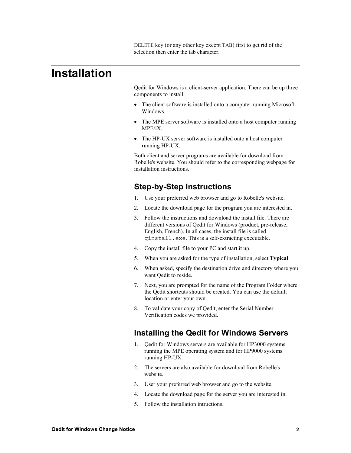DELETE key (or any other key except TAB) first to get rid of the selection then enter the tab character.

## **Installation**

Qedit for Windows is a client-server application. There can be up three components to install:

- The client software is installed onto a computer running Microsoft Windows.
- The MPE server software is installed onto a host computer running MPE/iX.
- The HP-UX server software is installed onto a host computer running HP-UX.

Both client and server programs are available for download from Robelle's website. You should refer to the corresponding webpage for installation instructions.

### **Step-by-Step Instructions**

- 1. Use your preferred web browser and go to Robelle's website.
- 2. Locate the download page for the program you are interested in.
- 3. Follow the instructions and download the install file. There are different versions of Qedit for Windows (product, pre-release, English, French). In all cases, the install file is called qinstall.exe. This is a self-extracting executable.
- 4. Copy the install file to your PC and start it up.
- 5. When you are asked for the type of installation, select **Typical**.
- 6. When asked, specify the destination drive and directory where you want Qedit to reside.
- 7. Next, you are prompted for the name of the Program Folder where the Qedit shortcuts should be created. You can use the default location or enter your own.
- 8. To validate your copy of Qedit, enter the Serial Number Verification codes we provided.

### **Installing the Qedit for Windows Servers**

- 1. Qedit for Windows servers are available for HP3000 systems running the MPE operating system and for HP9000 systems running HP-UX.
- 2. The servers are also available for download from Robelle's website.
- 3. User your preferred web browser and go to the website.
- 4. Locate the download page for the server you are interested in.
- 5. Follow the installation intructions.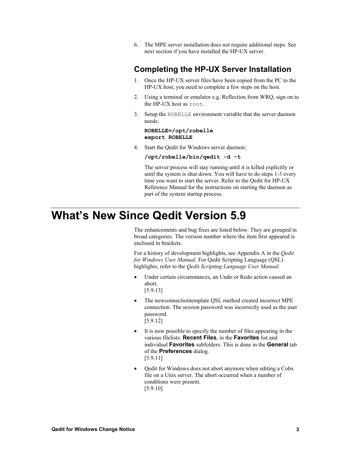6. The MPE server installation does not require additional steps. See next section if you have installed the HP-UX server.

### **Completing the HP-UX Server Installation**

- 1. Once the HP-UX server files have been copied from the PC to the HP-UX host, you need to complete a few steps on the host.
- 2. Using a terminal or emulator e.g. Reflection from WRQ, sign on to the HP-UX host as root.
- 3. Setup the ROBELLE environment variable that the server daemon needs:

#### **ROBELLE=/opt/robelle export ROBELLE**

4. Start the Qedit for Windows server daemon:

#### **/opt/robelle/bin/qedit -d -t**

The server process will stay running until it is killed explicitly or until the system is shut down. You will have to do steps 1-3 every time you want to start the server. Refer to the Qedit for HP-UX Reference Manual for the instructions on starting the daemon as part of the system startup process.

# **What's New Since Qedit Version 5.9**

The enhancements and bug fixes are listed below. They are grouped in broad categories. The version number where the item first appeared is enclosed in brackets.

For a history of development highlights, see Appendix A in the *Qedit for Windows User Manual*. For Qedit Scripting Language (QSL) highlights, refer to the *Qedit Scripting Language User Manual*.

- Under certain circumstances, an Undo or Redo action caused an abort. [5.9.13]
- The newconnectiontemplate QSL method created incorrect MPE connection. The session password was incorrectly used as the user password. [5.9.12]
- It is now possible to specify the number of files appearing in the various filelists: **Recent Files**, in the **Favorites** list and individual **Favorites** subfolders. This is done in the **General** tab of the **Preferences** dialog. [5.9.11]
- Qedit for Windows does not abort anymore when editing a Cobx file on a Unix server. The abort occurred when a number of conditions were present. [5.9.10]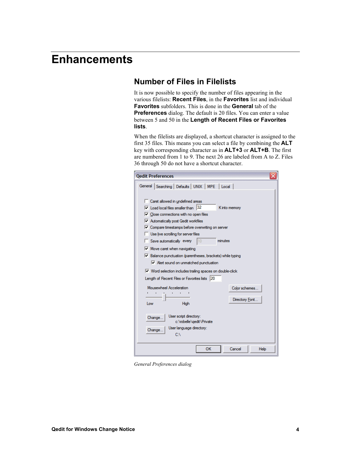# **Enhancements**

### **Number of Files in Filelists**

It is now possible to specify the number of files appearing in the various filelists: **Recent Files**, in the **Favorites** list and individual **Favorites** subfolders. This is done in the **General** tab of the **Preferences** dialog. The default is 20 files. You can enter a value between 5 and 50 in the **Length of Recent Files or Favorites lists**.

When the filelists are displayed, a shortcut character is assigned to the first 35 files. This means you can select a file by combining the **ALT** key with corresponding character as in **ALT+3** or **ALT+B**. The first are numbered from 1 to 9. The next 26 are labeled from A to Z. Files 36 through 50 do not have a shortcut character.

| <b>Qedit Preferences</b><br>×                                                                                                                                                                                                                                                                                                                                                                                                         |
|---------------------------------------------------------------------------------------------------------------------------------------------------------------------------------------------------------------------------------------------------------------------------------------------------------------------------------------------------------------------------------------------------------------------------------------|
| General   Searching   Defaults   UNIX   MPE   Local                                                                                                                                                                                                                                                                                                                                                                                   |
| Caret allowed in undefined areas<br>$\nabla$ Load local files smaller than 32<br>K into memory<br>$\nabla$ Close connections with no open files<br>M Automatically post Qedit workfiles<br>Ⅳ Compare timestamps before overwriting on server<br>Use live scrolling for server files<br>Save automatically every<br>minutes<br>10<br>$\nabla$ Move caret when navigating<br>Ⅳ Balance punctuation (parentheses, brackets) while typing |
| Mert sound on unmatched punctuation                                                                                                                                                                                                                                                                                                                                                                                                   |
| Ⅳ Word selection includes trailing spaces on double-click<br>Length of Recent Files or Favorites lists 20                                                                                                                                                                                                                                                                                                                             |
| Mousewheel Acceleration<br>Color schemes<br>$\mathbf{L}$<br>ï<br>Directory Font<br>High<br>I ow                                                                                                                                                                                                                                                                                                                                       |
| User script directory:<br>Change<br>c:\robelle\gedit\Private<br>User language directory:<br>Change.<br>C:\                                                                                                                                                                                                                                                                                                                            |
| OK<br>Cancel<br>Help                                                                                                                                                                                                                                                                                                                                                                                                                  |

*General Preferences dialog*